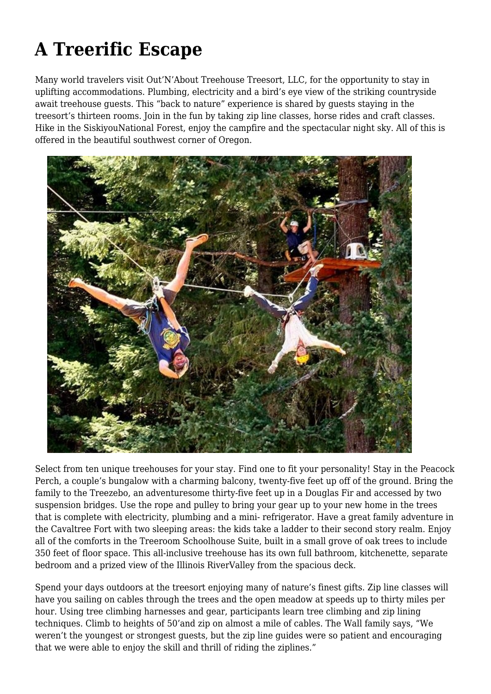## **A Treerific Escape**

Many world travelers visit Out'N'About Treehouse Treesort, LLC, for the opportunity to stay in uplifting accommodations. Plumbing, electricity and a bird's eye view of the striking countryside await treehouse guests. This "back to nature" experience is shared by guests staying in the treesort's thirteen rooms. Join in the fun by taking zip line classes, horse rides and craft classes. Hike in the SiskiyouNational Forest, enjoy the campfire and the spectacular night sky. All of this is offered in the beautiful southwest corner of Oregon.



Select from ten unique treehouses for your stay. Find one to fit your personality! Stay in the Peacock Perch, a couple's bungalow with a charming balcony, twenty-five feet up off of the ground. Bring the family to the Treezebo, an adventuresome thirty-five feet up in a Douglas Fir and accessed by two suspension bridges. Use the rope and pulley to bring your gear up to your new home in the trees that is complete with electricity, plumbing and a mini- refrigerator. Have a great family adventure in the Cavaltree Fort with two sleeping areas: the kids take a ladder to their second story realm. Enjoy all of the comforts in the Treeroom Schoolhouse Suite, built in a small grove of oak trees to include 350 feet of floor space. This all-inclusive treehouse has its own full bathroom, kitchenette, separate bedroom and a prized view of the Illinois RiverValley from the spacious deck.

Spend your days outdoors at the treesort enjoying many of nature's finest gifts. Zip line classes will have you sailing on cables through the trees and the open meadow at speeds up to thirty miles per hour. Using tree climbing harnesses and gear, participants learn tree climbing and zip lining techniques. Climb to heights of 50'and zip on almost a mile of cables. The Wall family says, "We weren't the youngest or strongest guests, but the zip line guides were so patient and encouraging that we were able to enjoy the skill and thrill of riding the ziplines."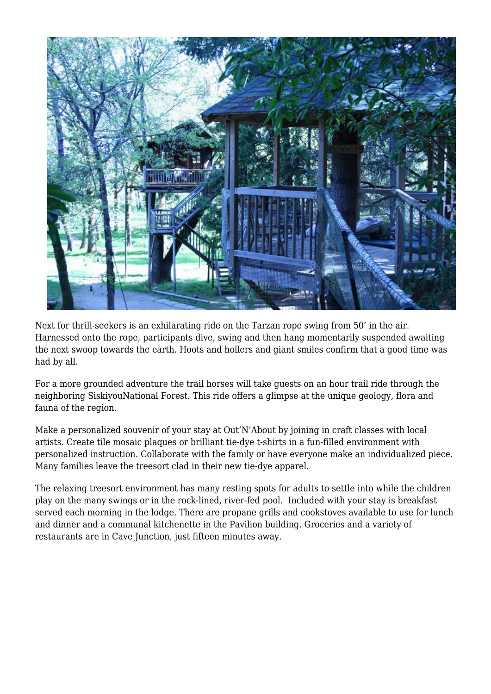

Next for thrill-seekers is an exhilarating ride on the Tarzan rope swing from 50' in the air. Harnessed onto the rope, participants dive, swing and then hang momentarily suspended awaiting the next swoop towards the earth. Hoots and hollers and giant smiles confirm that a good time was had by all.

For a more grounded adventure the trail horses will take guests on an hour trail ride through the neighboring SiskiyouNational Forest. This ride offers a glimpse at the unique geology, flora and fauna of the region.

Make a personalized souvenir of your stay at Out'N'About by joining in craft classes with local artists. Create tile mosaic plaques or brilliant tie-dye t-shirts in a fun-filled environment with personalized instruction. Collaborate with the family or have everyone make an individualized piece. Many families leave the treesort clad in their new tie-dye apparel.

The relaxing treesort environment has many resting spots for adults to settle into while the children play on the many swings or in the rock-lined, river-fed pool. Included with your stay is breakfast served each morning in the lodge. There are propane grills and cookstoves available to use for lunch and dinner and a communal kitchenette in the Pavilion building. Groceries and a variety of restaurants are in Cave Junction, just fifteen minutes away.